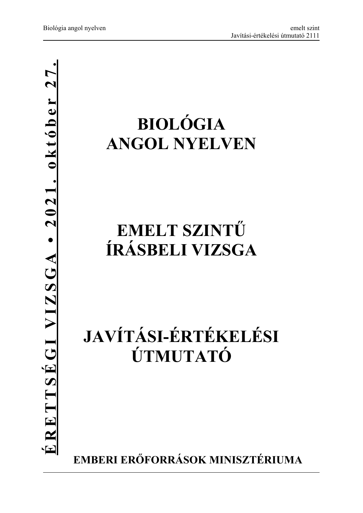# **BIOLÓGIA ANGOL NYELVEN**

## **EMELT SZINTŰ ÍRÁSBELI VIZSGA**

## **JAVÍTÁSI-ÉRTÉKELÉSI ÚTMUTATÓ**

**EMBERI ERŐFORRÁSOK MINISZTÉRIUMA**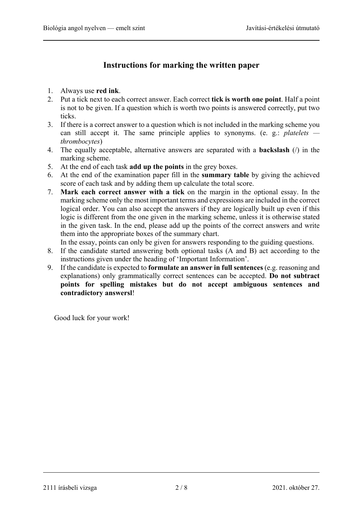### **Instructions for marking the written paper**

- 1. Always use **red ink**.
- 2. Put a tick next to each correct answer. Each correct **tick is worth one point**. Half a point is not to be given. If a question which is worth two points is answered correctly, put two ticks.
- 3. If there is a correct answer to a question which is not included in the marking scheme you can still accept it. The same principle applies to synonyms. (e. g.: *platelets thrombocytes*)
- 4. The equally acceptable, alternative answers are separated with a **backslash** (/) in the marking scheme.
- 5. At the end of each task **add up the points** in the grey boxes.
- 6. At the end of the examination paper fill in the **summary table** by giving the achieved score of each task and by adding them up calculate the total score.
- 7. **Mark each correct answer with a tick** on the margin in the optional essay. In the marking scheme only the most important terms and expressions are included in the correct logical order. You can also accept the answers if they are logically built up even if this logic is different from the one given in the marking scheme, unless it is otherwise stated in the given task. In the end, please add up the points of the correct answers and write them into the appropriate boxes of the summary chart.

In the essay, points can only be given for answers responding to the guiding questions.

- 8. If the candidate started answering both optional tasks (A and B) act according to the instructions given under the heading of 'Important Information'.
- 9. If the candidate is expected to **formulate an answer in full sentences** (e.g. reasoning and explanations) only grammatically correct sentences can be accepted. **Do not subtract points for spelling mistakes but do not accept ambiguous sentences and contradictory answersl**!

Good luck for your work!

2111 írásbeli vizsga 2 / 8 2021. október 27.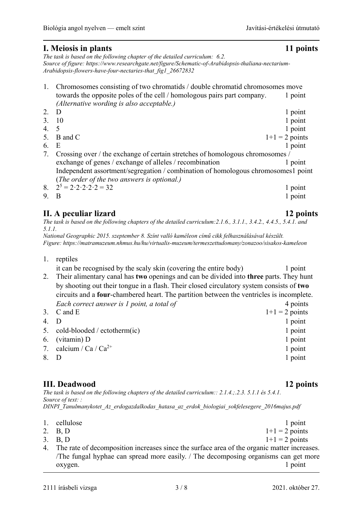#### **I. Meiosis in plants 11 points**

*The task is based on the following chapter of the detailed curriculum: 6.2. Source of figure: https://www.researchgate.net/figure/Schematic-of-Arabidopsis-thaliana-nectarium-Arabidopsis-flowers-have-four-nectaries-that\_fig1\_26672832* 

#### 1. Chromosomes consisting of two chromatids / double chromatid chromosomes move towards the opposite poles of the cell / homologous pairs part company. 1 point  *(Alternative wording is also acceptable.)* 2. D 1 point 3. 10 1 point 4. 5 1 point 5. B and C  $1+1 = 2$  points 6. E 1 point 7. Crossing over / the exchange of certain stretches of homologous chromosomes / exchange of genes / exchange of alleles / recombination 1 point Independent assortment/segregation / combination of homologous chromosomes1 point (*The order of the two answers is optional.)* 8.  $2^5 = 2 \cdot 2 \cdot 2 \cdot 2 = 32$  1 point 9. B 1 point

### **II. A peculiar lizard 12 points**

*The task is based on the following chapters of the detailed curriculum:2.1.6., 3.1.1., 3.4.2., 4.4.5., 5.4.1. and 5.1.1.* 

*National Geographic 2015. szeptember 8. Színt valló kaméleon című cikk felhasználásával készült. Figure: https://matramuzeum.nhmus.hu/hu/virtualis-muzeum/termeszettudomany/zonazoo/sisakos-kameleon* 

1. reptiles

it can be recognised by the scaly skin (covering the entire body) 1 point

- 2. Their alimentary canal has **two** openings and can be divided into **three** parts. They hunt by shooting out their tongue in a flash. Their closed circulatory system consists of **two** circuits and a **four**-chambered heart. The partition between the ventricles is incomplete. *Each correct answer is 1 point, a total of*  $\overline{4}$  points
- 3. C and E  $1+1 = 2$  points 4. D 1 point 5. cold-blooded / ectotherm(ic) 1 point 6. (vitamin) D 1 point 7. calcium / Ca / Ca<sup>2+</sup> 1 point 8. D 1 point

#### **III. Deadwood 12 points**

*The task is based on the following chapters of the detailed curriculum:: 2.1.4.;.2.3. 5.1.1 és 5.4.1. Source of text: : DINPI\_Tanulmanykotet\_Az\_erdogazdalkodas\_hatasa\_az\_erdok\_biologiai\_sokfelesegere\_2016majus.pdf* 

- 1. cellulose 1 point<br>
2. B. D  $1+1=2$  points  $1+1 = 2$  points 3. B, D  $1+1 = 2$  points
- 4. The rate of decomposition increases since the surface area of the organic matter increases. /The fungal hyphae can spread more easily. / The decomposing organisms can get more oxygen. 1 point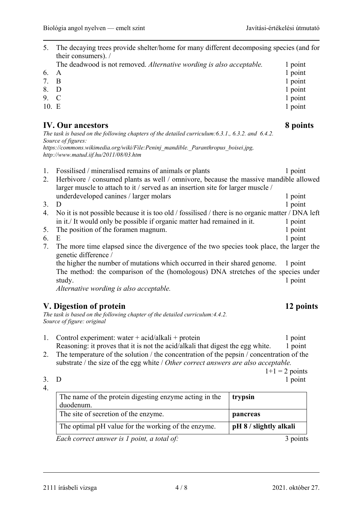5. The decaying trees provide shelter/home for many different decomposing species (and for their consumers). /

| The deadwood is not removed. Alternative wording is also acceptable. | 1 point |
|----------------------------------------------------------------------|---------|
| 6. A                                                                 | 1 point |
| 7. B                                                                 | 1 point |
| $\mathfrak{o}$ $\mathfrak{n}$                                        | 1.4.4   |

8. D 1 point 9. C 1 point 10. E 1 point

#### **IV. Our ancestors 8 points**

*The task is based on the following chapters of the detailed curriculum:6.3.1., 6.3.2. and 6.4.2. Source of figures:* 

*https://commons.wikimedia.org/wiki/File:Peninj\_mandible.\_Paranthropus\_boisei.jpg, http://www.matud.iif.hu/2011/08/03.htm* 

- 1. Fossilised / mineralised remains of animals or plants 1 point 1 point
- 2. Herbivore / consumed plants as well / omnivore, because the massive mandible allowed larger muscle to attach to it / served as an insertion site for larger muscle / underdeveloped canines / larger molars 1 point 1 point

- 3. D 1 point 4. No it is not possible because it is too old / fossilised / there is no organic matter / DNA left in it./ It would only be possible if organic matter had remained in it. 1 point
- 5. The position of the foramen magnum. 1 point
- 
- 6. E 1 point 7. The more time elapsed since the divergence of the two species took place, the larger the genetic difference /

the higher the number of mutations which occurred in their shared genome. 1 point The method: the comparison of the (homologous) DNA stretches of the species under study. 1 point

*Alternative wording is also acceptable.* 

### **V. Digestion of protein 12 points**

*The task is based on the following chapter of the detailed curriculum:4.4.2. Source of figure: original* 

- 1. Control experiment: water + acid/alkali + protein 1 point Reasoning: it proves that it is not the acid/alkali that digest the egg white. 1 point
- 2. The temperature of the solution / the concentration of the pepsin / concentration of the substrate / the size of the egg white / *Other correct answers are also acceptable.*

 $1+1 = 2$  points 3. D 1 point

4.

| The name of the protein digesting enzyme acting in the<br>duodenum. | trypsin                |
|---------------------------------------------------------------------|------------------------|
| The site of secretion of the enzyme.                                | pancreas               |
| The optimal pH value for the working of the enzyme.                 | pH 8 / slightly alkali |
| Each correct answer is l noint a total of                           | 3 nointe               |

*Each correct answer is 1 point, a total of:* 3 points

2111 írásbeli vizsga 4 / 8 2021. október 27.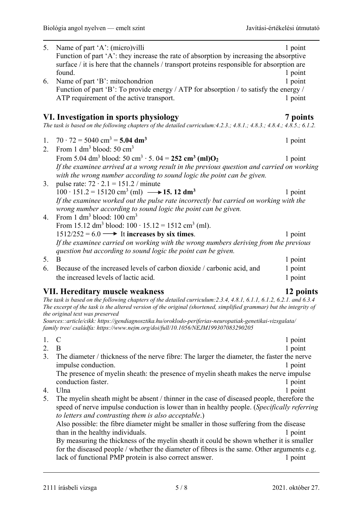| 5. | Name of part 'A': (micro) villi<br>Function of part 'A': they increase the rate of absorption by increasing the absorptive<br>surface / it is here that the channels / transport proteins responsible for absorption are<br>found.                                                              | 1 point<br>1 point |
|----|-------------------------------------------------------------------------------------------------------------------------------------------------------------------------------------------------------------------------------------------------------------------------------------------------|--------------------|
| 6. | Name of part 'B': mitochondrion                                                                                                                                                                                                                                                                 | 1 point            |
|    | Function of part 'B': To provide energy / ATP for absorption / to satisfy the energy /                                                                                                                                                                                                          |                    |
|    | ATP requirement of the active transport.                                                                                                                                                                                                                                                        | 1 point            |
|    |                                                                                                                                                                                                                                                                                                 |                    |
|    |                                                                                                                                                                                                                                                                                                 |                    |
|    | VI. Investigation in sports physiology<br>The task is based on the following chapters of the detailed curriculum: $4.2.3$ .; $4.8.1$ .; $4.8.3$ .; $4.8.4$ .; $4.8.5$ .; $6.1.2$ .                                                                                                              | 7 points           |
| 1. | $70 \cdot 72 = 5040 \text{ cm}^3 = 5.04 \text{ dm}^3$                                                                                                                                                                                                                                           | 1 point            |
| 2. | From 1 $dm^3$ blood: 50 $cm^3$                                                                                                                                                                                                                                                                  |                    |
|    | From 5.04 dm <sup>3</sup> blood: 50 cm <sup>3</sup> · 5.04 = 252 cm <sup>3</sup> (ml)O <sub>2</sub>                                                                                                                                                                                             | 1 point            |
|    | If the examinee arrived at a wrong result in the previous question and carried on working                                                                                                                                                                                                       |                    |
|    | with the wrong number according to sound logic the point can be given.                                                                                                                                                                                                                          |                    |
| 3. | pulse rate: $72 \cdot 2.1 = 151.2 /$ minute<br>$100 \cdot 151.2 = 15120 \text{ cm}^3 \text{ (ml)} \longrightarrow 15.12 \text{ dm}^3$                                                                                                                                                           |                    |
|    |                                                                                                                                                                                                                                                                                                 | 1 point            |
|    | If the examinee worked out the pulse rate incorrectly but carried on working with the                                                                                                                                                                                                           |                    |
| 4. | wrong number according to sound logic the point can be given.<br>From 1 $dm^3$ blood: 100 $cm^3$                                                                                                                                                                                                |                    |
|    | From 15.12 dm <sup>3</sup> blood: $100 \cdot 15.12 = 1512$ cm <sup>3</sup> (ml).                                                                                                                                                                                                                |                    |
|    | $1512/252 = 6.0 \rightarrow$ It increases by six times.                                                                                                                                                                                                                                         | 1 point            |
|    | If the examinee carried on working with the wrong numbers deriving from the previous<br>question but according to sound logic the point can be given.                                                                                                                                           |                    |
| 5. | B                                                                                                                                                                                                                                                                                               | 1 point            |
| 6. | Because of the increased levels of carbon dioxide / carbonic acid, and                                                                                                                                                                                                                          | 1 point            |
|    | the increased levels of lactic acid.                                                                                                                                                                                                                                                            | 1 point            |
|    |                                                                                                                                                                                                                                                                                                 |                    |
|    | <b>VII. Hereditary muscle weakness</b>                                                                                                                                                                                                                                                          | 12 points          |
|    | The task is based on the following chapters of the detailed curriculum: $2.3.4$ , $4.8.1$ , $6.1.1$ , $6.1.2$ , $6.2.1$ . and $6.3.4$<br>The excerpt of the task is the altered version of the original (shortened, simplified grammar) but the integrity of<br>the original text was preserved |                    |
|    | Sources::article/cikk: https://gendiagnosztika.hu/oroklodo-periferias-neuropatiak-genetikai-vizsgalata/<br>family tree/családfa: https://www.nejm.org/doi/full/10.1056/NEJM199307083290205                                                                                                      |                    |
| 1. | $\mathcal{C}$                                                                                                                                                                                                                                                                                   | 1 point            |
| 2. | B                                                                                                                                                                                                                                                                                               | 1 point            |
| 3. | The diameter / thickness of the nerve fibre: The larger the diameter, the faster the nerve                                                                                                                                                                                                      |                    |
|    | impulse conduction.                                                                                                                                                                                                                                                                             | 1 point            |
|    | The presence of myelin sheath: the presence of myelin sheath makes the nerve impulse                                                                                                                                                                                                            |                    |
|    | conduction faster.                                                                                                                                                                                                                                                                              | 1 point            |
| 4. | Ulna                                                                                                                                                                                                                                                                                            | 1 point            |
| 5. | The myelin sheath might be absent / thinner in the case of diseased people, therefore the                                                                                                                                                                                                       |                    |
|    | speed of nerve impulse conduction is lower than in healthy people. (Specifically referring                                                                                                                                                                                                      |                    |
|    | to letters and contrasting them is also acceptable.)                                                                                                                                                                                                                                            |                    |
|    | Also possible: the fibre diameter might be smaller in those suffering from the disease                                                                                                                                                                                                          |                    |
|    | than in the healthy individuals.                                                                                                                                                                                                                                                                | 1 point            |
|    | By measuring the thickness of the myelin sheath it could be shown whether it is smaller                                                                                                                                                                                                         |                    |
|    | for the diseased people / whether the diameter of fibres is the same. Other arguments e.g.                                                                                                                                                                                                      |                    |
|    | lack of functional PMP protein is also correct answer.                                                                                                                                                                                                                                          | 1 point            |
|    |                                                                                                                                                                                                                                                                                                 |                    |
|    |                                                                                                                                                                                                                                                                                                 |                    |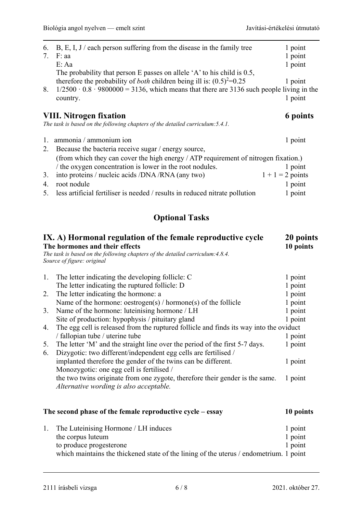| 6.<br>7.       | B, E, I, J / each person suffering from the disease in the family tree<br>F: aa<br>E: Aa            | 1 point<br>1 point<br>1 point |  |  |
|----------------|-----------------------------------------------------------------------------------------------------|-------------------------------|--|--|
|                | The probability that person E passes on allele $'A$ to his child is 0.5,                            |                               |  |  |
|                | therefore the probability of <i>both</i> children being ill is: $(0.5)^2=0.25$                      | 1 point                       |  |  |
| 8.             | $1/2500 \cdot 0.8 \cdot 9800000 = 3136$ , which means that there are 3136 such people living in the |                               |  |  |
|                | country.                                                                                            | 1 point                       |  |  |
|                | <b>VIII.</b> Nitrogen fixation                                                                      | 6 points                      |  |  |
|                | The task is based on the following chapters of the detailed curriculum: 5.4.1.                      |                               |  |  |
| $\mathbf{1}$ . | ammonia / ammonium ion                                                                              | 1 point                       |  |  |
| 2.             | Because the bacteria receive sugar / energy source,                                                 |                               |  |  |
|                | (from which they can cover the high energy / ATP requirement of nitrogen fixation.)                 |                               |  |  |
|                | the oxygen concentration is lower in the root nodules.                                              | 1 point                       |  |  |
| 3.             | into proteins / nucleic acids /DNA /RNA (any two)                                                   | $1 + 1 = 2$ points            |  |  |
| 4.             | root nodule                                                                                         | 1 point                       |  |  |
| 5.             | less artificial fertiliser is needed / results in reduced nitrate pollution                         | 1 point                       |  |  |

## **Optional Tasks**

| IX. A) Hormonal regulation of the female reproductive cycle<br>The hormones and their effects<br>The task is based on the following chapters of the detailed curriculum: 4.8.4.<br>Source of figure: original |                                                                                                                                                | 20 points<br>10 points |
|---------------------------------------------------------------------------------------------------------------------------------------------------------------------------------------------------------------|------------------------------------------------------------------------------------------------------------------------------------------------|------------------------|
| 1.                                                                                                                                                                                                            | The letter indicating the developing follicle: C                                                                                               | 1 point                |
|                                                                                                                                                                                                               | The letter indicating the ruptured follicle: D                                                                                                 | 1 point                |
| 2.                                                                                                                                                                                                            | The letter indicating the hormone: a                                                                                                           | 1 point                |
|                                                                                                                                                                                                               | Name of the hormone: oestrogen(s) / hormone(s) of the follicle                                                                                 | 1 point                |
| 3.                                                                                                                                                                                                            | Name of the hormone: luteinising hormone / LH                                                                                                  | 1 point                |
|                                                                                                                                                                                                               | Site of production: hypophysis / pituitary gland                                                                                               | 1 point                |
| 4.                                                                                                                                                                                                            | The egg cell is released from the ruptured follicle and finds its way into the oviduct                                                         |                        |
|                                                                                                                                                                                                               | / fallopian tube / uterine tube                                                                                                                | 1 point                |
| 5.<br>6.                                                                                                                                                                                                      | The letter 'M' and the straight line over the period of the first 5-7 days.<br>Dizygotic: two different/independent egg cells are fertilised / | 1 point                |
|                                                                                                                                                                                                               | implanted therefore the gender of the twins can be different.                                                                                  | 1 point                |
|                                                                                                                                                                                                               | Monozygotic: one egg cell is fertilised /                                                                                                      |                        |
|                                                                                                                                                                                                               | the two twins originate from one zygote, therefore their gender is the same.<br>Alternative wording is also acceptable.                        | 1 point                |
|                                                                                                                                                                                                               | The second phase of the female reproductive cycle – essay                                                                                      | 10 points              |
| 1.                                                                                                                                                                                                            | The Luteinising Hormone / LH induces                                                                                                           | 1 point                |
|                                                                                                                                                                                                               | the corpus luteum                                                                                                                              | 1 point                |
|                                                                                                                                                                                                               | to produce progesterone                                                                                                                        | 1 point                |
|                                                                                                                                                                                                               | which maintains the thickened state of the lining of the uterus / endometrium. 1 point                                                         |                        |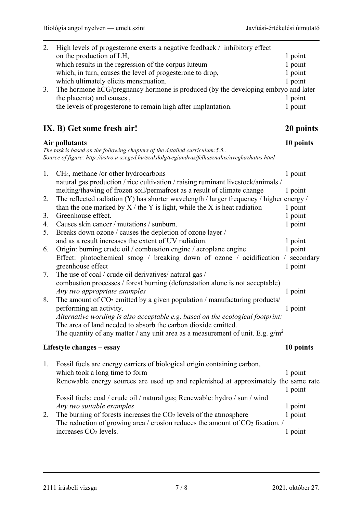| 2. | High levels of progesterone exerts a negative feedback / inhibitory effect<br>on the production of LH,                                                                       | 1 point   |
|----|------------------------------------------------------------------------------------------------------------------------------------------------------------------------------|-----------|
|    | which results in the regression of the corpus luteum                                                                                                                         | 1 point   |
|    | which, in turn, causes the level of progesterone to drop,                                                                                                                    | 1 point   |
|    |                                                                                                                                                                              |           |
|    | which ultimately elicits menstruation.                                                                                                                                       | 1 point   |
| 3. | The hormone hCG/pregnancy hormone is produced (by the developing embryo and later                                                                                            |           |
|    | the placenta) and causes,                                                                                                                                                    | 1 point   |
|    | the levels of progesterone to remain high after implantation.                                                                                                                | 1 point   |
|    | IX. B) Get some fresh air!                                                                                                                                                   | 20 points |
|    | Air pollutants                                                                                                                                                               | 10 points |
|    | The task is based on the following chapters of the detailed curriculum: 5.5<br>Source of figure: http://astro.u-szeged.hu/szakdolg/vegiandras/felhasznalas/uveghazhatas.html |           |
| 1. | CH <sub>4</sub> , methane /or other hydrocarbons                                                                                                                             | 1 point   |
|    | natural gas production / rice cultivation / raising ruminant livestock/animals /                                                                                             |           |
|    | melting/thawing of frozen soil/permafrost as a result of climate change                                                                                                      | 1 point   |
| 2. | The reflected radiation (Y) has shorter wavelength $/$ larger frequency $/$ higher energy $/$                                                                                |           |
|    | than the one marked by $X /$ the Y is light, while the X is heat radiation                                                                                                   | 1 point   |
| 3. | Greenhouse effect.                                                                                                                                                           | 1 point   |
| 4. | Causes skin cancer / mutations / sunburn.                                                                                                                                    | 1 point   |
| 5. | Breaks down ozone / causes the depletion of ozone layer /                                                                                                                    |           |
|    | and as a result increases the extent of UV radiation.                                                                                                                        | 1 point   |
| 6. | Origin: burning crude oil / combustion engine / aeroplane engine                                                                                                             | 1 point   |
|    | Effect: photochemical smog / breaking down of ozone / acidification / secondary                                                                                              |           |
|    | greenhouse effect                                                                                                                                                            | 1 point   |
| 7. | The use of coal / crude oil derivatives/ natural gas /                                                                                                                       |           |
|    | combustion processes / forest burning (deforestation alone is not acceptable)                                                                                                |           |
|    | Any two appropriate examples                                                                                                                                                 | 1 point   |
| 8. | The amount of $CO2$ emitted by a given population / manufacturing products/                                                                                                  |           |
|    | performing an activity.                                                                                                                                                      | 1 point   |
|    | Alternative wording is also acceptable e.g. based on the ecological footprint:                                                                                               |           |
|    | The area of land needed to absorb the carbon dioxide emitted.                                                                                                                |           |
|    | The quantity of any matter / any unit area as a measurement of unit. E.g. $g/m^2$                                                                                            |           |
|    | Lifestyle changes – essay                                                                                                                                                    | 10 points |
| 1. | Fossil fuels are energy carriers of biological origin containing carbon,                                                                                                     |           |
|    | which took a long time to form                                                                                                                                               | 1 point   |
|    | Renewable energy sources are used up and replenished at approximately the same rate                                                                                          |           |
|    |                                                                                                                                                                              | 1 point   |
|    | Fossil fuels: coal / crude oil / natural gas; Renewable: hydro / sun / wind                                                                                                  |           |
|    | Any two suitable examples                                                                                                                                                    | 1 point   |
| 2. | The burning of forests increases the $CO2$ levels of the atmosphere                                                                                                          | 1 point   |
|    | The reduction of growing area / erosion reduces the amount of $CO2$ fixation. /                                                                                              |           |
|    | increases CO <sub>2</sub> levels.                                                                                                                                            | 1 point   |